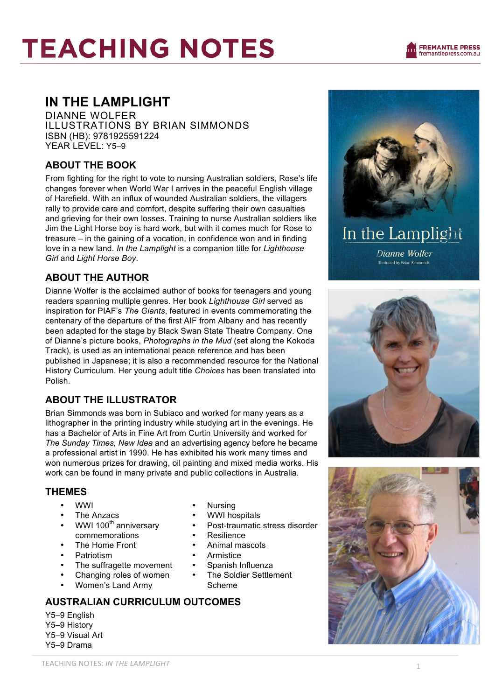# **TEACHING NOTES**

# **IN THE LAMPLIGHT**

DIANNE WOLFER ILLUSTRATIONS BY BRIAN SIMMONDS ISBN (HB): 9781925591224 YEAR LEVEL: Y5-9

### **ABOUT THE BOOK**

From fighting for the right to vote to nursing Australian soldiers, Rose's life changes forever when World War I arrives in the peaceful English village of Harefield. With an influx of wounded Australian soldiers, the villagers rally to provide care and comfort, despite suffering their own casualties and grieving for their own losses. Training to nurse Australian soldiers like Jim the Light Horse boy is hard work, but with it comes much for Rose to treasure – in the gaining of a vocation, in confidence won and in finding love in a new land. *In the Lamplight* is a companion title for *Lighthouse Girl* and *Light Horse Boy*.

### **ABOUT THE AUTHOR**

Dianne Wolfer is the acclaimed author of books for teenagers and young readers spanning multiple genres. Her book *Lighthouse Girl* served as inspiration for PIAF's *The Giants*, featured in events commemorating the centenary of the departure of the first AIF from Albany and has recently been adapted for the stage by Black Swan State Theatre Company. One of Dianne's picture books, *Photographs in the Mud* (set along the Kokoda Track), is used as an international peace reference and has been published in Japanese; it is also a recommended resource for the National History Curriculum. Her young adult title *Choices* has been translated into Polish.

## **ABOUT THE ILLUSTRATOR**

Brian Simmonds was born in Subiaco and worked for many years as a lithographer in the printing industry while studying art in the evenings. He has a Bachelor of Arts in Fine Art from Curtin University and worked for *The Sunday Times, New Idea* and an advertising agency before he became a professional artist in 1990. He has exhibited his work many times and won numerous prizes for drawing, oil painting and mixed media works. His work can be found in many private and public collections in Australia.

### **THEMES**

- WWI
- The Anzacs
- WWI 100<sup>th</sup> anniversary commemorations
- The Home Front
- **Patriotism**
- The suffragette movement
- Changing roles of women
- Women's Land Army

### **AUSTRALIAN CURRICULUM OUTCOMES**

Y5–9 English Y5–9 History Y5–9 Visual Art Y5–9 Drama

- Nursing
- WWI hospitals
- Post-traumatic stress disorder
- Resilience<br>• Animal more
- Animal mascots
- **Armistice**
- Spanish Influenza
- The Soldier Settlement Scheme



Dianne Wolfer **Ilustrated by Brian Simmonds** 



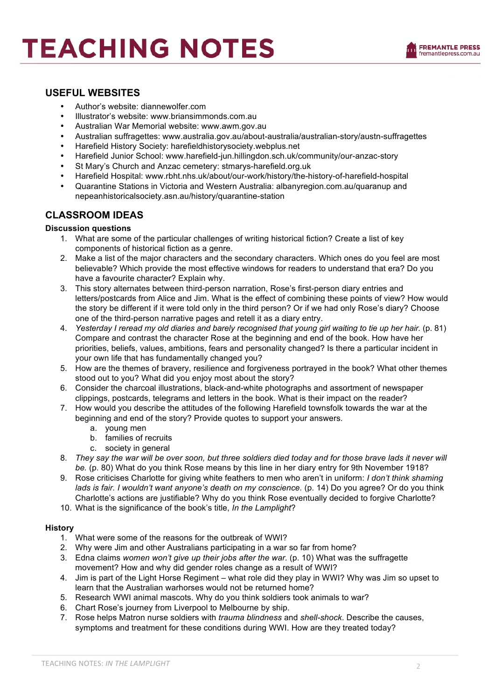# **TEACHING NOTES**



#### **USEFUL WEBSITES**

- Author's website: diannewolfer.com
- Illustrator's website: www.briansimmonds.com.au<br>• Australian War Memorial website: www.awm.gov
- Australian War Memorial website: www.awm.gov.au
- Australian suffragettes: www.australia.gov.au/about-australia/australian-story/austn-suffragettes
- Harefield History Society: harefieldhistorysociety.webplus.net
- Harefield Junior School: www.harefield-jun.hillingdon.sch.uk/community/our-anzac-story
- St Mary's Church and Anzac cemetery: stmarys-harefield.org.uk
- Harefield Hospital: www.rbht.nhs.uk/about/our-work/history/the-history-of-harefield-hospital
- Quarantine Stations in Victoria and Western Australia: albanyregion.com.au/quaranup and nepeanhistoricalsociety.asn.au/history/quarantine-station

#### **CLASSROOM IDEAS**

#### **Discussion questions**

- 1. What are some of the particular challenges of writing historical fiction? Create a list of key components of historical fiction as a genre.
- 2. Make a list of the major characters and the secondary characters. Which ones do you feel are most believable? Which provide the most effective windows for readers to understand that era? Do you have a favourite character? Explain why.
- 3. This story alternates between third-person narration, Rose's first-person diary entries and letters/postcards from Alice and Jim. What is the effect of combining these points of view? How would the story be different if it were told only in the third person? Or if we had only Rose's diary? Choose one of the third-person narrative pages and retell it as a diary entry.
- 4. *Yesterday I reread my old diaries and barely recognised that young girl waiting to tie up her hair.* (p. 81) Compare and contrast the character Rose at the beginning and end of the book. How have her priorities, beliefs, values, ambitions, fears and personality changed? Is there a particular incident in your own life that has fundamentally changed you?
- 5. How are the themes of bravery, resilience and forgiveness portrayed in the book? What other themes stood out to you? What did you enjoy most about the story?
- 6. Consider the charcoal illustrations, black-and-white photographs and assortment of newspaper clippings, postcards, telegrams and letters in the book. What is their impact on the reader?
- 7. How would you describe the attitudes of the following Harefield townsfolk towards the war at the beginning and end of the story? Provide quotes to support your answers.
	- a. young men
	- b. families of recruits
	- c. society in general
- 8. *They say the war will be over soon, but three soldiers died today and for those brave lads it never will be.* (p. 80) What do you think Rose means by this line in her diary entry for 9th November 1918?
- 9. Rose criticises Charlotte for giving white feathers to men who aren't in uniform: *I don't think shaming lads is fair. I wouldn't want anyone's death on my conscience.* (p. 14) Do you agree? Or do you think Charlotte's actions are justifiable? Why do you think Rose eventually decided to forgive Charlotte?
- 10. What is the significance of the book's title, *In the Lamplight*?

#### **History**

- 1. What were some of the reasons for the outbreak of WWI?
- 2. Why were Jim and other Australians participating in a war so far from home?
- 3. Edna claims *women won't give up their jobs after the war.* (p. 10) What was the suffragette movement? How and why did gender roles change as a result of WWI?
- 4. Jim is part of the Light Horse Regiment what role did they play in WWI? Why was Jim so upset to learn that the Australian warhorses would not be returned home?
- 5. Research WWI animal mascots. Why do you think soldiers took animals to war?
- 6. Chart Rose's journey from Liverpool to Melbourne by ship.
- 7. Rose helps Matron nurse soldiers with *trauma blindness* and *shell-shock*. Describe the causes, symptoms and treatment for these conditions during WWI. How are they treated today?